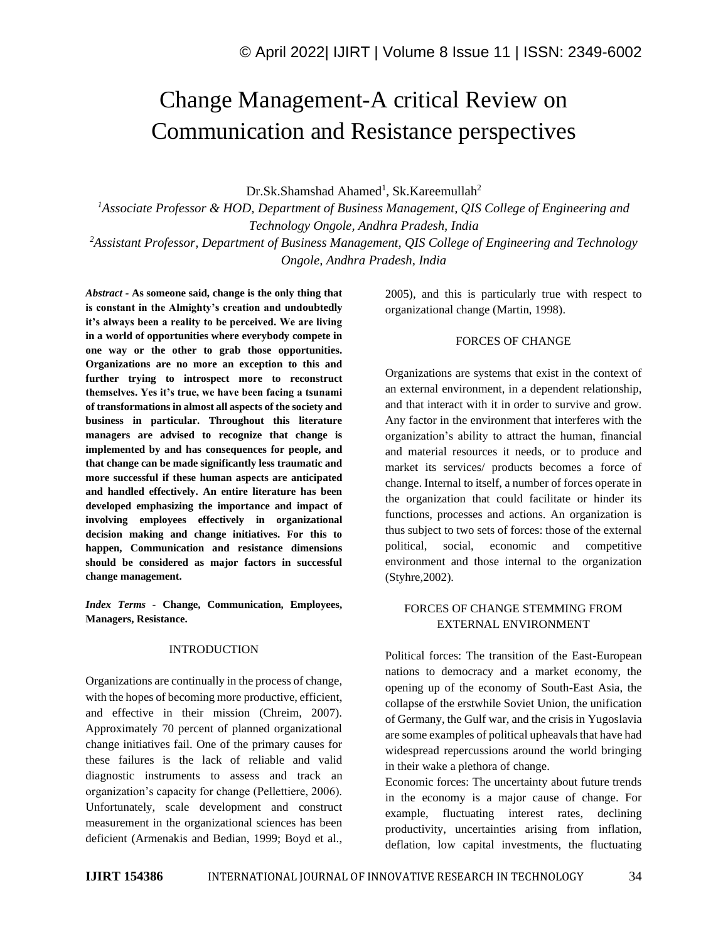# Change Management-A critical Review on Communication and Resistance perspectives

Dr.Sk.Shamshad Ahamed<sup>1</sup>, Sk.Kareemullah<sup>2</sup>

*<sup>1</sup>Associate Professor & HOD, Department of Business Management, QIS College of Engineering and Technology Ongole, Andhra Pradesh, India <sup>2</sup>Assistant Professor, Department of Business Management, QIS College of Engineering and Technology Ongole, Andhra Pradesh, India*

*Abstract -* **As someone said, change is the only thing that is constant in the Almighty's creation and undoubtedly it's always been a reality to be perceived. We are living in a world of opportunities where everybody compete in one way or the other to grab those opportunities. Organizations are no more an exception to this and further trying to introspect more to reconstruct themselves. Yes it's true, we have been facing a tsunami of transformations in almost all aspects of the society and business in particular. Throughout this literature managers are advised to recognize that change is implemented by and has consequences for people, and that change can be made significantly less traumatic and more successful if these human aspects are anticipated and handled effectively. An entire literature has been developed emphasizing the importance and impact of involving employees effectively in organizational decision making and change initiatives. For this to happen, Communication and resistance dimensions should be considered as major factors in successful change management.**

*Index Terms -* **Change, Communication, Employees, Managers, Resistance.**

#### INTRODUCTION

Organizations are continually in the process of change, with the hopes of becoming more productive, efficient, and effective in their mission (Chreim, 2007). Approximately 70 percent of planned organizational change initiatives fail. One of the primary causes for these failures is the lack of reliable and valid diagnostic instruments to assess and track an organization's capacity for change (Pellettiere, 2006). Unfortunately, scale development and construct measurement in the organizational sciences has been deficient (Armenakis and Bedian, 1999; Boyd et al.,

2005), and this is particularly true with respect to organizational change (Martin, 1998).

## FORCES OF CHANGE

Organizations are systems that exist in the context of an external environment, in a dependent relationship, and that interact with it in order to survive and grow. Any factor in the environment that interferes with the organization's ability to attract the human, financial and material resources it needs, or to produce and market its services/ products becomes a force of change. Internal to itself, a number of forces operate in the organization that could facilitate or hinder its functions, processes and actions. An organization is thus subject to two sets of forces: those of the external political, social, economic and competitive environment and those internal to the organization (Styhre,2002).

## FORCES OF CHANGE STEMMING FROM EXTERNAL ENVIRONMENT

Political forces: The transition of the East-European nations to democracy and a market economy, the opening up of the economy of South-East Asia, the collapse of the erstwhile Soviet Union, the unification of Germany, the Gulf war, and the crisis in Yugoslavia are some examples of political upheavals that have had widespread repercussions around the world bringing in their wake a plethora of change.

Economic forces: The uncertainty about future trends in the economy is a major cause of change. For example, fluctuating interest rates, declining productivity, uncertainties arising from inflation, deflation, low capital investments, the fluctuating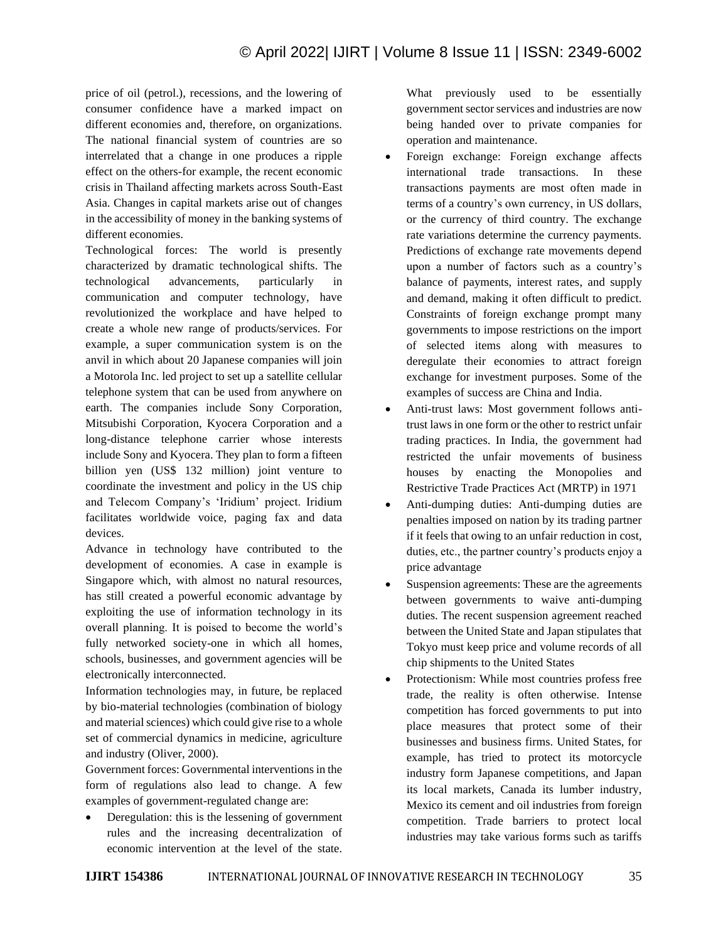price of oil (petrol.), recessions, and the lowering of consumer confidence have a marked impact on different economies and, therefore, on organizations. The national financial system of countries are so interrelated that a change in one produces a ripple effect on the others-for example, the recent economic crisis in Thailand affecting markets across South-East Asia. Changes in capital markets arise out of changes in the accessibility of money in the banking systems of different economies.

Technological forces: The world is presently characterized by dramatic technological shifts. The technological advancements, particularly in communication and computer technology, have revolutionized the workplace and have helped to create a whole new range of products/services. For example, a super communication system is on the anvil in which about 20 Japanese companies will join a Motorola Inc. led project to set up a satellite cellular telephone system that can be used from anywhere on earth. The companies include Sony Corporation, Mitsubishi Corporation, Kyocera Corporation and a long-distance telephone carrier whose interests include Sony and Kyocera. They plan to form a fifteen billion yen (US\$ 132 million) joint venture to coordinate the investment and policy in the US chip and Telecom Company's 'Iridium' project. Iridium facilitates worldwide voice, paging fax and data devices.

Advance in technology have contributed to the development of economies. A case in example is Singapore which, with almost no natural resources, has still created a powerful economic advantage by exploiting the use of information technology in its overall planning. It is poised to become the world's fully networked society-one in which all homes, schools, businesses, and government agencies will be electronically interconnected.

Information technologies may, in future, be replaced by bio-material technologies (combination of biology and material sciences) which could give rise to a whole set of commercial dynamics in medicine, agriculture and industry (Oliver, 2000).

Government forces: Governmental interventions in the form of regulations also lead to change. A few examples of government-regulated change are:

Deregulation: this is the lessening of government rules and the increasing decentralization of economic intervention at the level of the state.

What previously used to be essentially government sector services and industries are now being handed over to private companies for operation and maintenance.

- Foreign exchange: Foreign exchange affects international trade transactions. In these transactions payments are most often made in terms of a country's own currency, in US dollars, or the currency of third country. The exchange rate variations determine the currency payments. Predictions of exchange rate movements depend upon a number of factors such as a country's balance of payments, interest rates, and supply and demand, making it often difficult to predict. Constraints of foreign exchange prompt many governments to impose restrictions on the import of selected items along with measures to deregulate their economies to attract foreign exchange for investment purposes. Some of the examples of success are China and India.
- Anti-trust laws: Most government follows antitrust laws in one form or the other to restrict unfair trading practices. In India, the government had restricted the unfair movements of business houses by enacting the Monopolies and Restrictive Trade Practices Act (MRTP) in 1971
- Anti-dumping duties: Anti-dumping duties are penalties imposed on nation by its trading partner if it feels that owing to an unfair reduction in cost, duties, etc., the partner country's products enjoy a price advantage
- Suspension agreements: These are the agreements between governments to waive anti-dumping duties. The recent suspension agreement reached between the United State and Japan stipulates that Tokyo must keep price and volume records of all chip shipments to the United States
- Protectionism: While most countries profess free trade, the reality is often otherwise. Intense competition has forced governments to put into place measures that protect some of their businesses and business firms. United States, for example, has tried to protect its motorcycle industry form Japanese competitions, and Japan its local markets, Canada its lumber industry, Mexico its cement and oil industries from foreign competition. Trade barriers to protect local industries may take various forms such as tariffs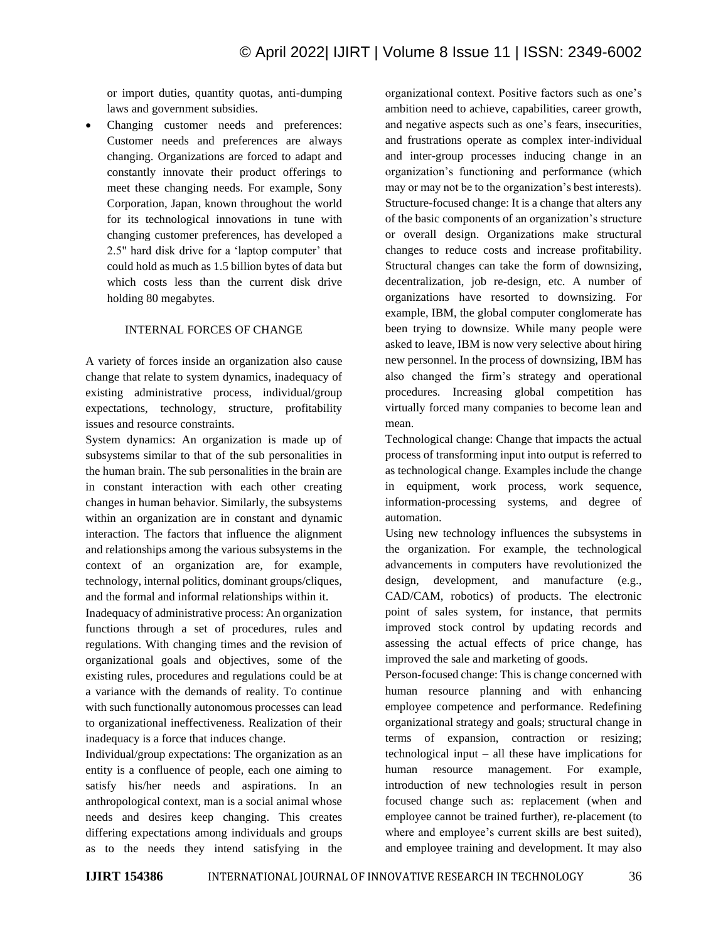or import duties, quantity quotas, anti-dumping laws and government subsidies.

Changing customer needs and preferences: Customer needs and preferences are always changing. Organizations are forced to adapt and constantly innovate their product offerings to meet these changing needs. For example, Sony Corporation, Japan, known throughout the world for its technological innovations in tune with changing customer preferences, has developed a 2.5" hard disk drive for a 'laptop computer' that could hold as much as 1.5 billion bytes of data but which costs less than the current disk drive holding 80 megabytes.

#### INTERNAL FORCES OF CHANGE

A variety of forces inside an organization also cause change that relate to system dynamics, inadequacy of existing administrative process, individual/group expectations, technology, structure, profitability issues and resource constraints.

System dynamics: An organization is made up of subsystems similar to that of the sub personalities in the human brain. The sub personalities in the brain are in constant interaction with each other creating changes in human behavior. Similarly, the subsystems within an organization are in constant and dynamic interaction. The factors that influence the alignment and relationships among the various subsystems in the context of an organization are, for example, technology, internal politics, dominant groups/cliques, and the formal and informal relationships within it.

Inadequacy of administrative process: An organization functions through a set of procedures, rules and regulations. With changing times and the revision of organizational goals and objectives, some of the existing rules, procedures and regulations could be at a variance with the demands of reality. To continue with such functionally autonomous processes can lead to organizational ineffectiveness. Realization of their inadequacy is a force that induces change.

Individual/group expectations: The organization as an entity is a confluence of people, each one aiming to satisfy his/her needs and aspirations. In an anthropological context, man is a social animal whose needs and desires keep changing. This creates differing expectations among individuals and groups as to the needs they intend satisfying in the

organizational context. Positive factors such as one's ambition need to achieve, capabilities, career growth, and negative aspects such as one's fears, insecurities, and frustrations operate as complex inter-individual and inter-group processes inducing change in an organization's functioning and performance (which may or may not be to the organization's best interests). Structure-focused change: It is a change that alters any of the basic components of an organization's structure or overall design. Organizations make structural changes to reduce costs and increase profitability. Structural changes can take the form of downsizing, decentralization, job re-design, etc. A number of organizations have resorted to downsizing. For example, IBM, the global computer conglomerate has been trying to downsize. While many people were asked to leave, IBM is now very selective about hiring new personnel. In the process of downsizing, IBM has also changed the firm's strategy and operational procedures. Increasing global competition has virtually forced many companies to become lean and mean.

Technological change: Change that impacts the actual process of transforming input into output is referred to as technological change. Examples include the change in equipment, work process, work sequence, information-processing systems, and degree of automation.

Using new technology influences the subsystems in the organization. For example, the technological advancements in computers have revolutionized the design, development, and manufacture (e.g., CAD/CAM, robotics) of products. The electronic point of sales system, for instance, that permits improved stock control by updating records and assessing the actual effects of price change, has improved the sale and marketing of goods.

Person-focused change: This is change concerned with human resource planning and with enhancing employee competence and performance. Redefining organizational strategy and goals; structural change in terms of expansion, contraction or resizing; technological input – all these have implications for human resource management. For example, introduction of new technologies result in person focused change such as: replacement (when and employee cannot be trained further), re-placement (to where and employee's current skills are best suited), and employee training and development. It may also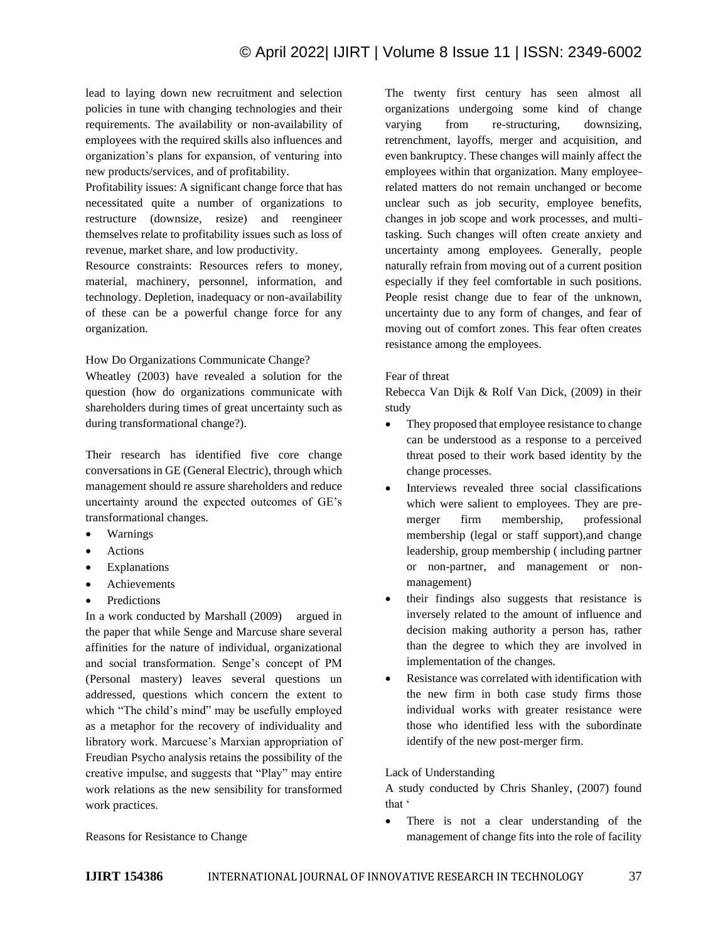lead to laying down new recruitment and selection policies in tune with changing technologies and their requirements. The availability or non-availability of employees with the required skills also influences and organization's plans for expansion, of venturing into new products/services, and of profitability.

Profitability issues: A significant change force that has necessitated quite a number of organizations to restructure (downsize, resize) and reengineer themselves relate to profitability issues such as loss of revenue, market share, and low productivity.

Resource constraints: Resources refers to money, material, machinery, personnel, information, and technology. Depletion, inadequacy or non-availability of these can be a powerful change force for any organization.

How Do Organizations Communicate Change?

Wheatley (2003) have revealed a solution for the question (how do organizations communicate with shareholders during times of great uncertainty such as during transformational change?).

Their research has identified five core change conversations in GE (General Electric), through which management should re assure shareholders and reduce uncertainty around the expected outcomes of GE's transformational changes.

- Warnings
- **Actions**
- **Explanations**
- **Achievements**
- **Predictions**

In a work conducted by Marshall (2009) argued in the paper that while Senge and Marcuse share several affinities for the nature of individual, organizational and social transformation. Senge's concept of PM (Personal mastery) leaves several questions un addressed, questions which concern the extent to which "The child's mind" may be usefully employed as a metaphor for the recovery of individuality and libratory work. Marcuese's Marxian appropriation of Freudian Psycho analysis retains the possibility of the creative impulse, and suggests that "Play" may entire work relations as the new sensibility for transformed work practices.

Reasons for Resistance to Change

The twenty first century has seen almost all organizations undergoing some kind of change varying from re-structuring, downsizing, retrenchment, layoffs, merger and acquisition, and even bankruptcy. These changes will mainly affect the employees within that organization. Many employeerelated matters do not remain unchanged or become unclear such as job security, employee benefits, changes in job scope and work processes, and multitasking. Such changes will often create anxiety and uncertainty among employees. Generally, people naturally refrain from moving out of a current position especially if they feel comfortable in such positions. People resist change due to fear of the unknown, uncertainty due to any form of changes, and fear of moving out of comfort zones. This fear often creates resistance among the employees.

### Fear of threat

Rebecca Van Dijk & Rolf Van Dick, (2009) in their study

- They proposed that employee resistance to change can be understood as a response to a perceived threat posed to their work based identity by the change processes.
- Interviews revealed three social classifications which were salient to employees. They are premerger firm membership, professional membership (legal or staff support),and change leadership, group membership ( including partner or non-partner, and management or nonmanagement)
- their findings also suggests that resistance is inversely related to the amount of influence and decision making authority a person has, rather than the degree to which they are involved in implementation of the changes.
- Resistance was correlated with identification with the new firm in both case study firms those individual works with greater resistance were those who identified less with the subordinate identify of the new post-merger firm.

## Lack of Understanding

A study conducted by Chris Shanley, (2007) found that '

There is not a clear understanding of the management of change fits into the role of facility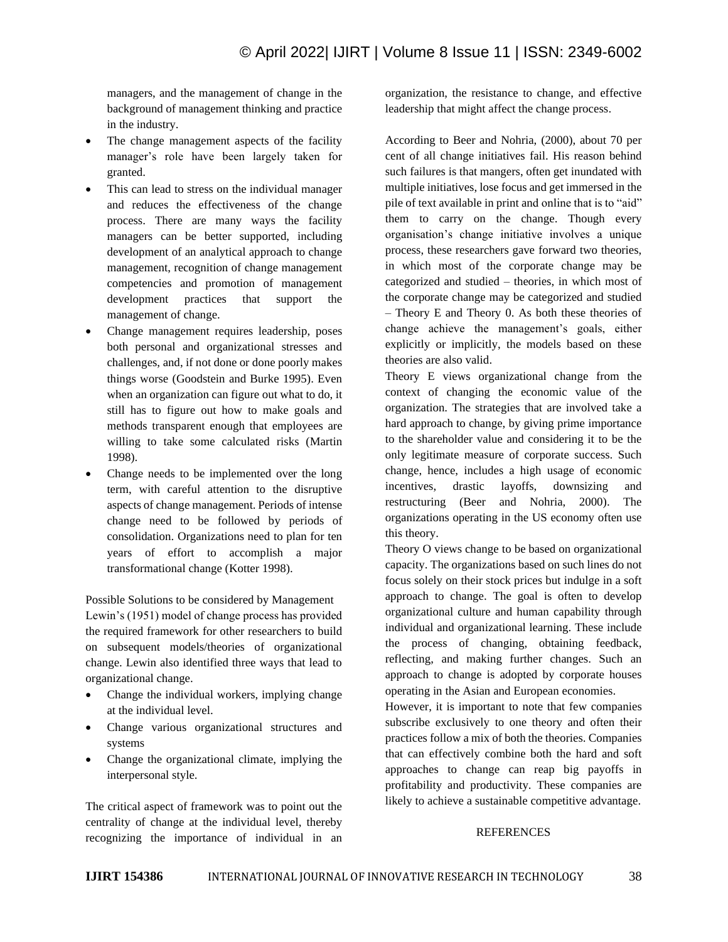managers, and the management of change in the background of management thinking and practice in the industry.

- The change management aspects of the facility manager's role have been largely taken for granted.
- This can lead to stress on the individual manager and reduces the effectiveness of the change process. There are many ways the facility managers can be better supported, including development of an analytical approach to change management, recognition of change management competencies and promotion of management development practices that support the management of change.
- Change management requires leadership, poses both personal and organizational stresses and challenges, and, if not done or done poorly makes things worse (Goodstein and Burke 1995). Even when an organization can figure out what to do, it still has to figure out how to make goals and methods transparent enough that employees are willing to take some calculated risks (Martin 1998).
- Change needs to be implemented over the long term, with careful attention to the disruptive aspects of change management. Periods of intense change need to be followed by periods of consolidation. Organizations need to plan for ten years of effort to accomplish a major transformational change (Kotter 1998).

Possible Solutions to be considered by Management Lewin's (1951) model of change process has provided the required framework for other researchers to build on subsequent models/theories of organizational change. Lewin also identified three ways that lead to organizational change.

- Change the individual workers, implying change at the individual level.
- Change various organizational structures and systems
- Change the organizational climate, implying the interpersonal style.

The critical aspect of framework was to point out the centrality of change at the individual level, thereby recognizing the importance of individual in an organization, the resistance to change, and effective leadership that might affect the change process.

According to Beer and Nohria, (2000), about 70 per cent of all change initiatives fail. His reason behind such failures is that mangers, often get inundated with multiple initiatives, lose focus and get immersed in the pile of text available in print and online that is to "aid" them to carry on the change. Though every organisation's change initiative involves a unique process, these researchers gave forward two theories, in which most of the corporate change may be categorized and studied – theories, in which most of the corporate change may be categorized and studied – Theory E and Theory 0. As both these theories of change achieve the management's goals, either explicitly or implicitly, the models based on these theories are also valid.

Theory E views organizational change from the context of changing the economic value of the organization. The strategies that are involved take a hard approach to change, by giving prime importance to the shareholder value and considering it to be the only legitimate measure of corporate success. Such change, hence, includes a high usage of economic incentives, drastic layoffs, downsizing and restructuring (Beer and Nohria, 2000). The organizations operating in the US economy often use this theory.

Theory O views change to be based on organizational capacity. The organizations based on such lines do not focus solely on their stock prices but indulge in a soft approach to change. The goal is often to develop organizational culture and human capability through individual and organizational learning. These include the process of changing, obtaining feedback, reflecting, and making further changes. Such an approach to change is adopted by corporate houses operating in the Asian and European economies.

However, it is important to note that few companies subscribe exclusively to one theory and often their practices follow a mix of both the theories. Companies that can effectively combine both the hard and soft approaches to change can reap big payoffs in profitability and productivity. These companies are likely to achieve a sustainable competitive advantage.

#### REFERENCES